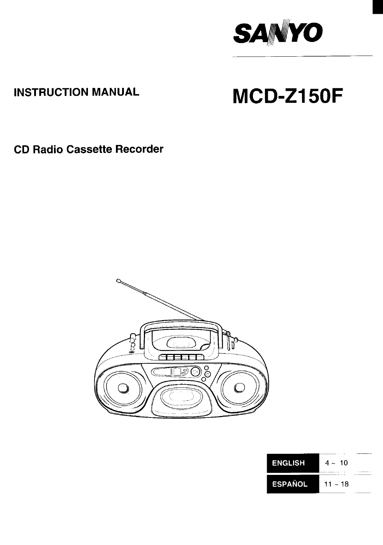

# **INSTRUCTION MANUAL**

# **MCD-Z150F**

**CD Radio Cassette Recorder**



| <b>ENGLISH</b> | $4 \sim 10$ |  |
|----------------|-------------|--|
| <b>ESPAÑOL</b> | $11 - 18$   |  |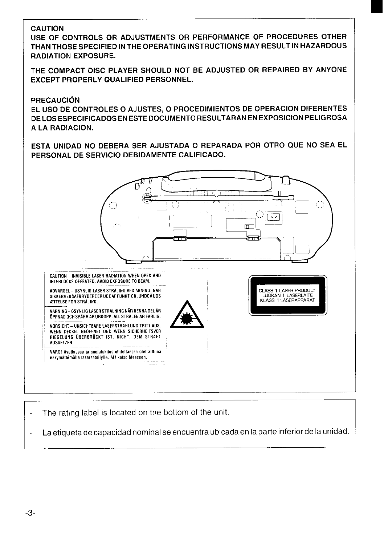# **CAUTION**

USE OF CONTROLS OR ADJUSTMENTS OR PERFORMANCE OF PROCEDURES OTHER THAN THOSE SPECIFIED IN THE OPERATING INSTRUCTIONS MAY RESULT IN HAZARDOUS **RADIATION EXPOSURE.** 

THE COMPACT DISC PLAYER SHOULD NOT BE ADJUSTED OR REPAIRED BY ANYONE **EXCEPT PROPERLY QUALIFIED PERSONNEL.** 

#### **PRECAUCIÓN**

EL USO DE CONTROLES O AJUSTES, O PROCEDIMIENTOS DE OPERACION DIFERENTES DE LOS ESPECIFICADOS EN ESTE DOCUMENTO RESULTARAN EN EXPOSICION PELIGROSA A LA RADIACION.

ESTA UNIDAD NO DEBERA SER AJUSTADA O REPARADA POR OTRO QUE NO SEA EL PERSONAL DE SERVICIO DEBIDAMENTE CALIFICADO.



The rating label is located on the bottom of the unit.

La etiqueta de capacidad nominal se encuentra ubicada en la parte inferior de la unidad. ÷,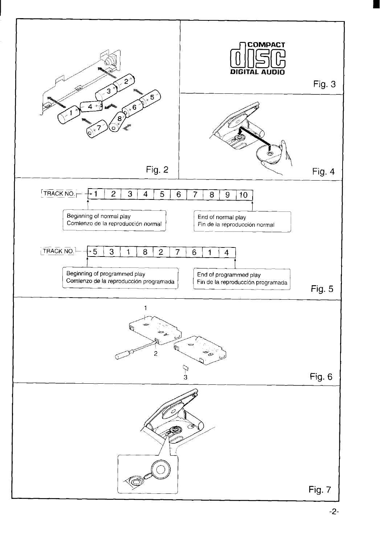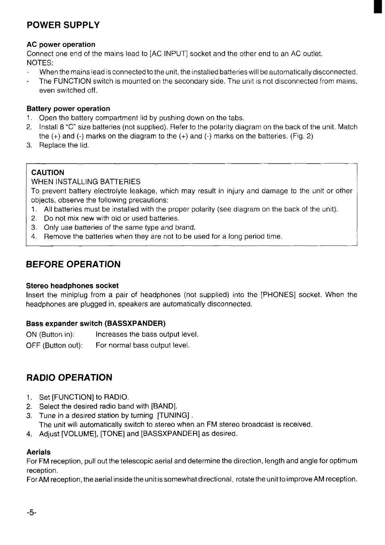# **POWER SUPPLY**

## AC power operation

Connect one end of the mains lead to [AC INPUT] socket and the other end to an AC outlet. NOTES:

- When the mains lead is connected to the unit, the installed batteries will be automatically disconnected.
- The FUNCTION switch is mounted on the secondary side. The unit is not disconnected from mains, even switched off.

#### Battery power operation

- 1. Open the battery compartment lid by pushing down on the tabs.
- 2. Install 8 "C" size batteries (not supplied), Refer to the polarity diagram on the back of the unit. Match the (+) and (-) marks on the diagram to the (+) and (-) marks on the batteries. (Fig. 2)
- 3. Replace the lid.

## CAUTION

WHEN INSTALLING BATTERIES

To prevent battery electrolyte leakage, which may result in injury and damage to the unit or other objects, observe the following precautions:

- 1. All batteries must be installed with the proper polarity (see diagram on the back of the unit).
- 2. Do not mix new with old or used batteries.
- 3. Only use batteries of the same type and brand.
- 4, Remove the batteries when they are not to be used for a long period time.

# **BEFORE OPERATION**

#### Stereo headphones socket

Insert the miniplug from a pair of headphones (not supplied) into the [PHONES] socket. When the headphones are plugged in, speakers are automatically disconnected.

## Bass expander switch (BASSXPANDER)

ON (Button in): Increases the bass output level. OFF (Button out): For normal bass output level.

# **RADIO OPERATION**

- 1, Set [FUNCTION] to RADIO.
- 2. Select the desired radio band with [BAND].
- 3. Tune in a desired station by turning [TUNING]. The unit will automatically switch to stereo when an FM stereo broadcast is received.
- 4. Adjust [VOLUME], [TONE] and [BASSXPANDER] as desired.

## Aerials

For FM reception, pull out the telescopic aerial and determine the direction, length and angle for optimum reception.

For AM reception, the aerial inside the unit is somewhat directional, rotate the unit to improve AM reception.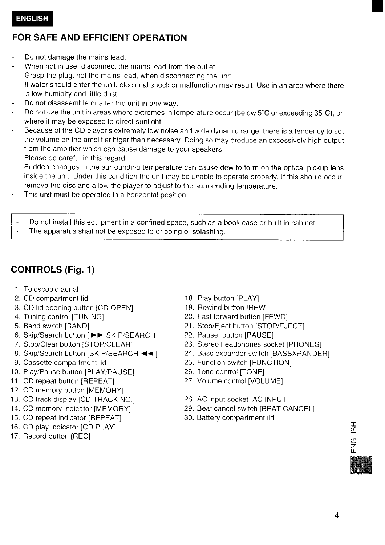# **FOR SAFE AND EFFICIENT OPERATION**

- Do not damage the mains lead.
- When not in use, disconnect the mains lead from the outlet. Grasp the plug, not the mains lead, when disconnecting the unit.
- If water should enter the unit, electrical shock or malfunction may result. Use in an area where there is low humidity and little dust.
- Do not disassemble or alter the unit in any way.
- Do not use the unit in areas where extremes in temperature occur (below 5°C or exceeding 35°C), or where it may be exposed to direct sunlight.
- Because of the CD player's extremely low noise and wide dynamic range, there is a tendency to set the volume on the amplifier higer than necessary. Doing so may produce an excessively high output from the amplifier which can cause damage to your speakers Please be careful in this regard,
- Sudden changes in the surrounding temperature can cause dew to form on the optical pickup lens inside the unit. Under this condition the unit may be unable to operate properly. If this should occur, remove the disc and allow the player to adjust to the surrounding temperature.
- This unit must be operated in a horizontal position.
- Do not install this equipment in a confined space, such as a book case or built in cabinet.
- The apparatus shall not be exposed to dripping or splashing.

# **CONTROLS (Fig. 1)**

- 1. Telescopic aerial
- 2. CD compartment lid
- 3. CD lid opening button [CD OPEN]
- 4. Tuning control [TUNING]
- 5. Band switch [BAND]
- 6. Skip/Search button [▶▶I SKIP/SEARCH]
- 7. Stop/Clear button [STOP/CLEAR]
- 8. Skip/Search button [SKIP/SEARCH  $\blacktriangleleft$  ]
- 9. Cassette compartment lid
- 10. Play/Pause button [PLAY/PAUSE]
- 11. CD repeat button [REPEAT]
- 12. CD memory button [MEMORY]
- 13. CD track display [CD TRACK NO.]
- 14. CD memory indicator [MEMORY]
- 15. CD repeat indicator [REPEAT]
- 16. CD play indicator [CD PLAY]
- 17. Record button [REC]
- 18. Play button [PLAY]
- 19. Rewind button [REW]
- 20. Fast forward button [FFWD]
- 21. Stop/Eject button [STOP/EJECT]
- 22. Pause button [PAUSE]
- 23. Stereo headphones socket [PHONES]
- 24. Bass expander switch [BASSXPANDER]
- 25. Function switch [FUNCTION]
- 26. Tone control [TONE]
- 27 Volume control [VOLUME]
- 28. AC input socket [AC INPUT]
- 29. Beat cancel switch [BEAT CANCEL]
- 30. Battery compartment lid

ENGL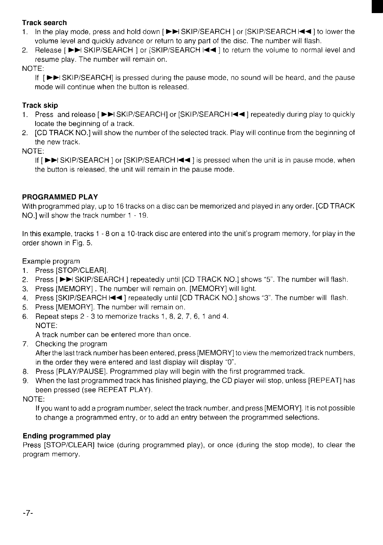# Track search

- 1. In the play mode, press and hold down [►►] SKIP/SEARCH I or ISKIP/SEARCH I< < 1 to lower the volume level and quickly advance or return to any part of the disc. The number will flash.
- 2. Release [ ►►I SKIP/SEARCH ] or [SKIP/SEARCH I<< ] to return the volume to normal level and resume play. The number will remain on.

NOTE:

If  $I^{\bullet}$  SKIP/SEARCHI is pressed during the pause mode, no sound will be heard, and the pause mode will continue when the button is released.

# Track skip

- 1. Press and release [▶▶I SKIP/SEARCH] or [SKIP/SEARCH I<</a> | repeatedly during play to quickly locate the beginning of a track.
- 2. [CD TRACK NO.] will show the number of the selected track. Play will continue from the beginning of the new track.

NOTE:

If [ ► SKIP/SEARCH ] or [SKIP/SEARCH I< < ] is pressed when the unit is in pause mode, when the button is released. the unit will remain in the pause mode.

# PROGRAMMED PLAY

With programmed play, up to 16 tracks on a disc can be memorized and played in any order. [CD TRACK NO.] will show the track number 1 -19.

In this example, tracks 1-8 on a 10-track disc are entered into the unit's program memory, for play in the order shown in Fig. 5.

Example program

- 1. Press [STOP/CLEAR].
- 2. Press [►►I SKIP/SEARCH ] repeatedly until [CD TRACK NO.] shows "5". The number will flash.
- 3. Press [MEMORY]. The number will remain on. [MEMORY] will light.
- 4. Press [SKIP/SEARCH I< < ] repeatedly until [CD TRACK NO.] shows "3". The number will flash.
- 5. Press [MEMORY]. The number will remain on.
- 6. Repeat steps 2-3 to memorize tracks 1, 8, 2, 7, 6, 1 and 4. NOTE:

A track number can be entered more than once.

- 7. Checking the program After the last track number has been entered, press [MEMORY] to view the memorized track numbers, in the order they were entered and last display will display "O".
- 8. Press [PLAY/PAUSE]. Programmed play will begin with the first programmed track.
- 9. When the last programmed track has finished playing, the CD player will stop, unless [REPEAT] has been pressed (see REPEAT PLAY).

NOTE:

If you want to add a program number, select the track number, and press [MEMORY]. It is not possible to change a programmed entry, or to add an entry between the programmed selections.

# Ending programmed play

Press [STOP/CLEAR] twice (during programmed play), or once (during the stop mode), to clear the program memory.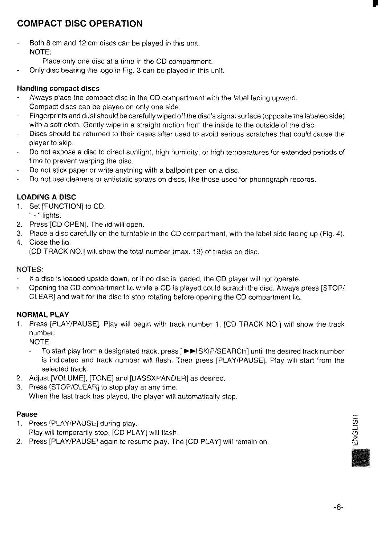# **COMPACT DISC OPERATION**

Both 8 cm and 12 cm discs can be played in this unit. NOTE:

Place only one disc at a time in the CD compartment.

- Only disc bearing the logo in Fig, 3 can be played in this unit.

# Handling compact discs

- Always place the compact disc in the CD compartment with the label facing upward. Compact discs can be played on only one side.
- Fingerprints and dust should be carefully wiped off the disc's signal surface (opposite the labeled side) with a soft cloth. Gently wipe in a straight motion from the inside to the outside of the disc.
- **Discsshould**be returned to their cases after used to avoid serious scratches that could cause the player to skip.
- Do not expose a disc to direct sunlight, high humidity, or high temperatures for extended periods of time to prevent warping the disc.
- Do not stick paper or write anything with a ballpoint pen on a disc.
- Do not use cleaners or antistatic sprays on discs, like those used for phonograph records.  $\mathbf{r}$

# LOADING A DISC

- 1, Set [FUNCTION] to CD.
	- '(- " lights.
- 2. Press [CD OPEN]. The lid will open.
- 3. Place a disc carefully on the turntable in the CD compartment, with the label side facing up (Fig. 4).
- 4. Close the lid. [CD TRACK NO.] will show the total number (max. 19) of tracks on disc,

# NOTES:

- If a disc is loaded upside down, or if no disc is loaded, the CD player will not operate.
- Opening the CD compartment lid while a CD is played could scratch the disc. Always press [STOP/ CLEAR] and wait for the disc to stop rotating before opening the CD compartment lid.

# NORMAL PLAY

1. Press [PLAY/PAUSE]. Play will begin with track number 1, [CD TRACK NO.] will show the track number.

NOTE:

- To start play from a designated track, press [ $\blacktriangleright$  SKIP/SEARCH] until the desired track number is indicated and track number will flash. Then press [PLAY/PAUSE]. Play will start from the selected track.
- 2. Adjust [VOLUME], [TONE] and [BASSXPANDER] as desired,
- 3. Press [STOP/CLEAR] to stop play at any time. When the last track has played, the player will automatically stop.

## Pause

1. Press [PLAY/PAUSE] during play.

Play will temporarily stop, [CD PLAY] will flash.

2. Press [PLAY/PAUSE] again to resume play, The [CD PLAY] will remain on,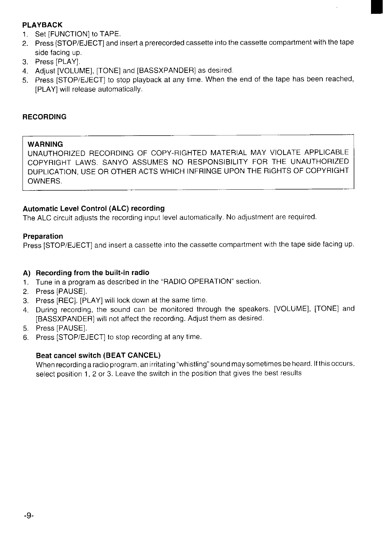# PLAYBACK

- 1. Set [FUNCTION] to TAPE.
- 2. Press [STOP/EJECT] and insert a prerecorded cassette into the cassette compartment with the tape side facing up.
- 3. Press [PLAY].
- 4. Adjust [VOLUME], [TONE] and [BASSXPANDER] as desired.
- 5. Press [STOP/EJECT] to stop playback at any time. When the end of the tape has been reached, [PLAY] will release automatically.

## **RECORDING**

## **WARNING**

UNAUTHORIZED RECORDING OF COPY-RIGHTED MATERIAL MAY VIOLATE APPLICABLE COPYRIGHT LAWS. SANYO ASSUMES NO RESPONSIBILITY FOR THE UNAUTHORIZED DUPLICATION, USE OR OTHER ACTS WHICH INFRINGE UPON THE RIGHTS OF COPYRIGHT OWNERS.

## Automatic Level Control (ALC) recording

The ALC circuit adjusts the recording input level automatically. No adjustment are required.

#### Preparation

Press [STOP/EJECT] and insert a cassette into the cassette compartment with the tape side facing up.

## A) Recording from the built-in radi

- 1, Tune in a program as described in the "RADIO OPERATION" section.
- 2. Press [PAUSE].
- 3, Press [REC], [PLAY] will lock down at the same time.
- 4. During recording, the sound can be monitored through the speakers. [VOLUME], [TONE] and [BASSXPANDER] will not affect the recording. Adjust them as desired.
- 5. Press [PAUSE].
- 6. Press [STOP/EJECT] to stop recording at any time.

## Beat cancel switch (BEAT CANCEL)

When recording a radio program, an irritating "whistling" sound may sometimes be heard. If this occurs, select position 1, 2 or 3. Leave the switch in the position that gives the best results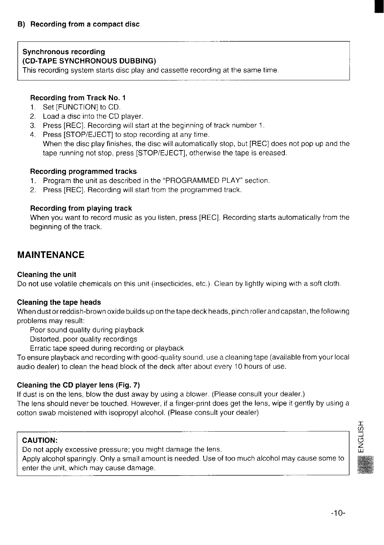# Synchronous recording (CD-TAPE SYNCHRONOUS DUBBING)

This recording system starts disc play and cassette recording at the same time.

## Recording from Track No. 1

- 1. Set [FUNCTION] to CD.
- 2. Load a disc into the CD player.
- 3. Press [REC]. Recording will start at the beginning of track number 1.
- 4. Press ISTOP/EJECTI to stop recording at any time.

When the disc play finishes, the disc will automatically stop, but [REC] does not pop up and the tape running not stop, press [STOP/EJECT], otherwise the tape is ereased.

#### Recording programmed tracks

- 1. Program the unit as described in the "PROGRAMMED PLAY" section.
- 2. Press [REC]. Recording will start from the programmed track.

## Recording from playing track

When you want to record music as you listen, press [REC]. Recording starts automatically from the beginning of the track.

# **MAINTENANCE**

#### **Cleaning the unit**

Do not use volatile chemicals on this unit (insecticides, etc.). Clean by lightly wiping with a soft cloth.

#### **Cleaning the tape heads**

**When dust orreddish-brown** oxide builds upon the tape deck heads, pinch roller and capstan, the following problems may result:

Poor sound quality during playback

Distorted, poor quality recordings

Erratic tape speed during recording or playback

To ensure playback and recording with good-quality sound, use a cleaning tape (available from your local audio dealer) to clean the head block of the deck after about every 10 hours of use.

## **Cleaning the CD player lens (Fig.** 7)

If dust is on the lens, blow the dust away by using a blower. (Please consult your dealer.) The lens should never be touched. However, if a finger-print does get the lens, wipe it gently by using a cotton swab moistened with isopropyl alcohol. (Please consult your dealer)

# CAUTION:

Do not apply excessive pressure; you might damage the lens.

Apply alcohol sparingly. Only a small amount is needed. Use of too much alcohol may cause some to enter the unit, which may cause damage.

![](_page_8_Picture_28.jpeg)